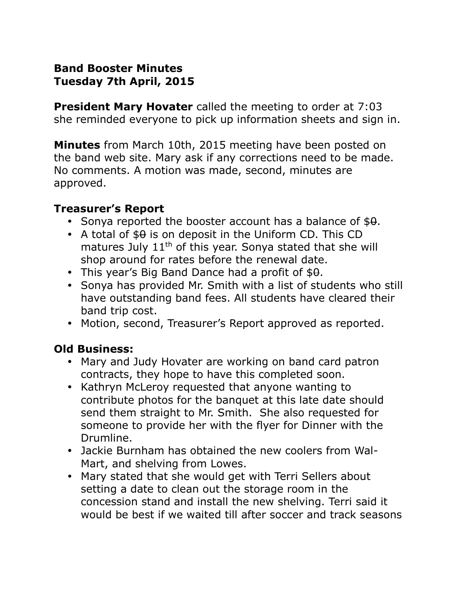## **Band Booster Minutes Tuesday 7th April, 2015**

**President Mary Hovater** called the meeting to order at 7:03 she reminded everyone to pick up information sheets and sign in.

**Minutes** from March 10th, 2015 meeting have been posted on the band web site. Mary ask if any corrections need to be made. No comments. A motion was made, second, minutes are approved.

#### **Treasurer's Report**

- Sonya reported the booster account has a balance of  $$9.$
- A total of  $$9$  is on deposit in the Uniform CD. This CD matures July 11<sup>th</sup> of this year. Sonya stated that she will shop around for rates before the renewal date.
- This year's Big Band Dance had a profit of  $$0.5$
- Sonya has provided Mr. Smith with a list of students who still have outstanding band fees. All students have cleared their band trip cost.
- Motion, second, Treasurer's Report approved as reported.

### **Old Business:**

- Mary and Judy Hovater are working on band card patron contracts, they hope to have this completed soon.
- Kathryn McLeroy requested that anyone wanting to contribute photos for the banquet at this late date should send them straight to Mr. Smith. She also requested for someone to provide her with the flyer for Dinner with the Drumline.
- Jackie Burnham has obtained the new coolers from Wal-Mart, and shelving from Lowes.
- Mary stated that she would get with Terri Sellers about setting a date to clean out the storage room in the concession stand and install the new shelving. Terri said it would be best if we waited till after soccer and track seasons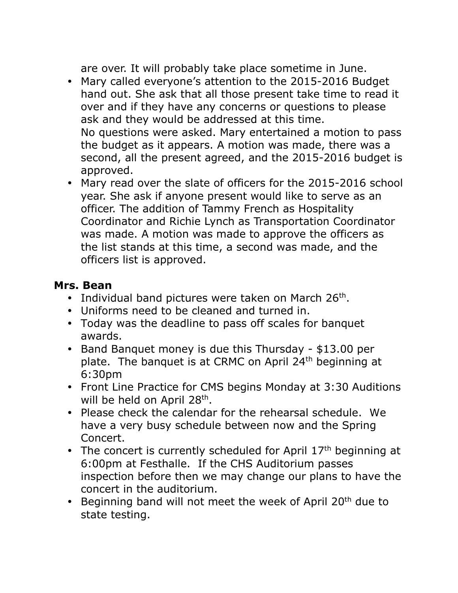are over. It will probably take place sometime in June.

- Mary called everyone's attention to the 2015-2016 Budget hand out. She ask that all those present take time to read it over and if they have any concerns or questions to please ask and they would be addressed at this time. No questions were asked. Mary entertained a motion to pass the budget as it appears. A motion was made, there was a second, all the present agreed, and the 2015-2016 budget is approved.
- Mary read over the slate of officers for the 2015-2016 school year. She ask if anyone present would like to serve as an officer. The addition of Tammy French as Hospitality Coordinator and Richie Lynch as Transportation Coordinator was made. A motion was made to approve the officers as the list stands at this time, a second was made, and the officers list is approved.

### **Mrs. Bean**

- Individual band pictures were taken on March  $26<sup>th</sup>$ .
- Uniforms need to be cleaned and turned in.
- Today was the deadline to pass off scales for banquet awards.
- Band Banquet money is due this Thursday \$13.00 per plate. The banquet is at CRMC on April 24<sup>th</sup> beginning at 6:30pm
- Front Line Practice for CMS begins Monday at 3:30 Auditions will be held on April 28<sup>th</sup>.
- Please check the calendar for the rehearsal schedule. We have a very busy schedule between now and the Spring Concert.
- The concert is currently scheduled for April  $17<sup>th</sup>$  beginning at 6:00pm at Festhalle. If the CHS Auditorium passes inspection before then we may change our plans to have the concert in the auditorium.
- Beginning band will not meet the week of April 20<sup>th</sup> due to state testing.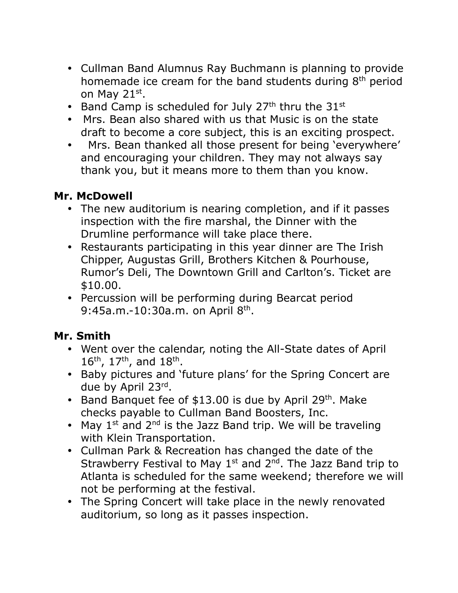- Cullman Band Alumnus Ray Buchmann is planning to provide homemade ice cream for the band students during 8<sup>th</sup> period on May 21st.
- Band Camp is scheduled for July  $27<sup>th</sup>$  thru the  $31<sup>st</sup>$
- Mrs. Bean also shared with us that Music is on the state draft to become a core subject, this is an exciting prospect.
- Mrs. Bean thanked all those present for being 'everywhere' and encouraging your children. They may not always say thank you, but it means more to them than you know.

### **Mr. McDowell**

- The new auditorium is nearing completion, and if it passes inspection with the fire marshal, the Dinner with the Drumline performance will take place there.
- Restaurants participating in this year dinner are The Irish Chipper, Augustas Grill, Brothers Kitchen & Pourhouse, Rumor's Deli, The Downtown Grill and Carlton's. Ticket are \$10.00.
- Percussion will be performing during Bearcat period 9:45a.m.-10:30a.m. on April 8<sup>th</sup>.

# **Mr. Smith**

- Went over the calendar, noting the All-State dates of April 16<sup>th</sup>, 17<sup>th</sup>, and 18<sup>th</sup>.
- Baby pictures and 'future plans' for the Spring Concert are due by April 23rd.
- Band Banquet fee of  $$13.00$  is due by April 29<sup>th</sup>. Make checks payable to Cullman Band Boosters, Inc.
- May  $1^{st}$  and  $2^{nd}$  is the Jazz Band trip. We will be traveling with Klein Transportation.
- Cullman Park & Recreation has changed the date of the Strawberry Festival to May  $1<sup>st</sup>$  and  $2<sup>nd</sup>$ . The Jazz Band trip to Atlanta is scheduled for the same weekend; therefore we will not be performing at the festival.
- The Spring Concert will take place in the newly renovated auditorium, so long as it passes inspection.